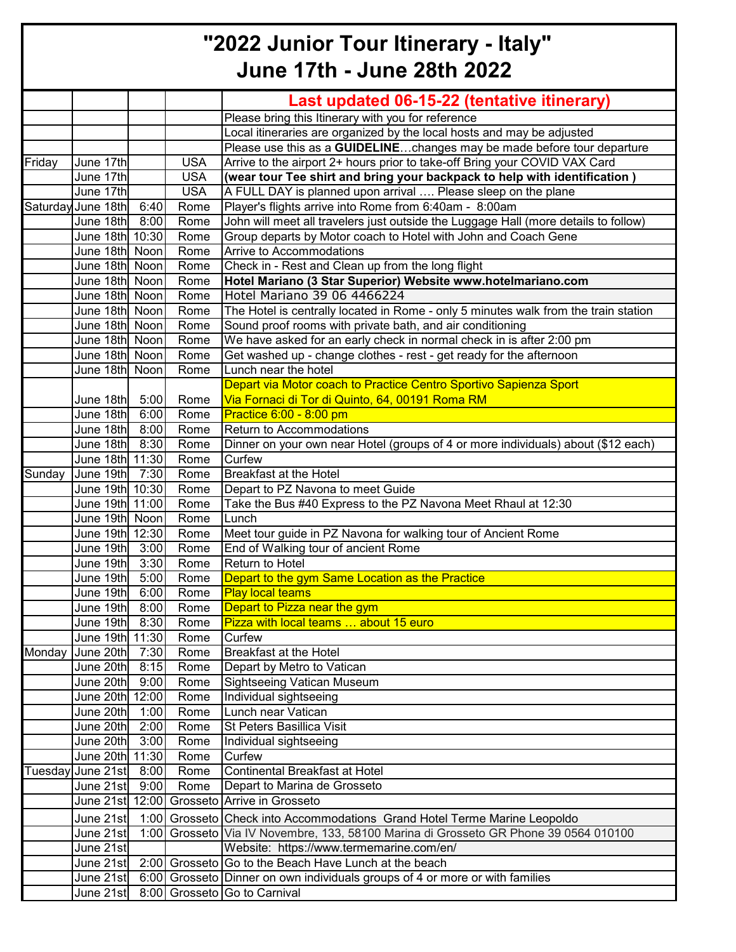## **"2022 Junior Tour Itinerary - Italy" June 17th - June 28th 2022**

| Last updated 06-15-22 (tentative itinerary)<br>Please bring this Itinerary with you for reference<br>Local itineraries are organized by the local hosts and may be adjusted<br>Please use this as a GUIDELINEchanges may be made before tour departure<br>Friday<br>June 17th<br><b>USA</b><br>Arrive to the airport 2+ hours prior to take-off Bring your COVID VAX Card<br>June 17th<br><b>USA</b><br>(wear tour Tee shirt and bring your backpack to help with identification )<br><b>USA</b><br>June 17th<br>A FULL DAY is planned upon arrival  Please sleep on the plane<br>Player's flights arrive into Rome from 6:40am - 8:00am<br>Saturday June 18th<br>Rome<br>6:40<br>June 18th 8:00<br>John will meet all travelers just outside the Luggage Hall (more details to follow)<br>Rome<br>June 18th 10:30<br>Rome<br>Group departs by Motor coach to Hotel with John and Coach Gene<br>June 18th Noon<br>Rome<br>Arrive to Accommodations<br>Check in - Rest and Clean up from the long flight<br>June 18th Noon<br>Rome<br>June 18th Noon<br>Hotel Mariano (3 Star Superior) Website www.hotelmariano.com<br>Rome<br>Hotel Mariano 39 06 4466224<br>June 18th Noon<br>Rome<br>June 18th Noon<br>The Hotel is centrally located in Rome - only 5 minutes walk from the train station<br>Rome<br>Sound proof rooms with private bath, and air conditioning<br>June 18th Noon<br>Rome<br>We have asked for an early check in normal check in is after 2:00 pm<br>June 18th Noon<br>Rome<br>June 18th Noon<br>Get washed up - change clothes - rest - get ready for the afternoon<br>Rome<br>June 18th Noon<br>Lunch near the hotel<br>Rome<br>Depart via Motor coach to Practice Centro Sportivo Sapienza Sport<br>Via Fornaci di Tor di Quinto, 64, 00191 Roma RM<br>June 18th 5:00<br>Rome<br>June 18th<br>Practice 6:00 - 8:00 pm<br>6:00<br>Rome<br>Return to Accommodations<br>June 18th 8:00<br>Rome<br>June 18th<br>8:30<br>Dinner on your own near Hotel (groups of 4 or more individuals) about (\$12 each)<br>Rome<br>Curfew<br>June 18th 11:30<br>Rome<br>Sunday<br><b>Breakfast at the Hotel</b><br>June 19th 7:30<br>Rome<br>June 19th 10:30<br>Depart to PZ Navona to meet Guide<br>Rome<br>June 19th 11:00<br>Take the Bus #40 Express to the PZ Navona Meet Rhaul at 12:30<br>Rome<br>June 19th Noon<br>Lunch<br>Rome<br>June 19th 12:30<br>Meet tour guide in PZ Navona for walking tour of Ancient Rome<br>Rome<br>June 19th 3:00<br>End of Walking tour of ancient Rome<br>Rome<br>Return to Hotel<br>June 19th<br>3:30<br>Rome<br>June 19th<br>Depart to the gym Same Location as the Practice<br>5:00<br>Rome<br>June 19th<br>6:00<br><b>Play local teams</b><br>Rome<br>Depart to Pizza near the gym<br>June 19th<br>8:00<br>Rome<br>June 19th 8:30<br>Rome<br>Pizza with local teams  about 15 euro<br>June 19th 11:30<br>Rome<br>Curfew<br>June 20th 7:30<br>Monday<br>Rome<br><b>Breakfast at the Hotel</b><br>June 20th<br>8:15<br>Depart by Metro to Vatican<br>Rome<br><b>Sightseeing Vatican Museum</b><br>June 20th<br>9:00<br>Rome<br>June 20th 12:00<br>Individual sightseeing<br>Rome<br>June 20th<br>Lunch near Vatican<br>1:00<br>Rome<br>June 20th<br>St Peters Basillica Visit<br>2:00<br>Rome<br>June 20th 3:00<br>Rome<br>Individual sightseeing<br>June 20th 11:30<br>Curfew<br>Rome<br><b>Continental Breakfast at Hotel</b><br>Tuesday June 21st<br>8:00<br>Rome<br>Depart to Marina de Grosseto<br>June 21st<br>9:00<br>Rome<br>June 21st 12:00 Grosseto Arrive in Grosseto<br>1:00 Grosseto Check into Accommodations Grand Hotel Terme Marine Leopoldo<br>June 21st<br>June 21st<br>1:00 Grosseto Via IV Novembre, 133, 58100 Marina di Grosseto GR Phone 39 0564 010100<br>Website: https://www.termemarine.com/en/<br>June 21st<br>June 21st<br>2:00 Grosseto Go to the Beach Have Lunch at the beach<br>6:00 Grosseto Dinner on own individuals groups of 4 or more or with families<br>June 21st<br>8:00 Grosseto Go to Carnival |           |  |  |
|------------------------------------------------------------------------------------------------------------------------------------------------------------------------------------------------------------------------------------------------------------------------------------------------------------------------------------------------------------------------------------------------------------------------------------------------------------------------------------------------------------------------------------------------------------------------------------------------------------------------------------------------------------------------------------------------------------------------------------------------------------------------------------------------------------------------------------------------------------------------------------------------------------------------------------------------------------------------------------------------------------------------------------------------------------------------------------------------------------------------------------------------------------------------------------------------------------------------------------------------------------------------------------------------------------------------------------------------------------------------------------------------------------------------------------------------------------------------------------------------------------------------------------------------------------------------------------------------------------------------------------------------------------------------------------------------------------------------------------------------------------------------------------------------------------------------------------------------------------------------------------------------------------------------------------------------------------------------------------------------------------------------------------------------------------------------------------------------------------------------------------------------------------------------------------------------------------------------------------------------------------------------------------------------------------------------------------------------------------------------------------------------------------------------------------------------------------------------------------------------------------------------------------------------------------------------------------------------------------------------------------------------------------------------------------------------------------------------------------------------------------------------------------------------------------------------------------------------------------------------------------------------------------------------------------------------------------------------------------------------------------------------------------------------------------------------------------------------------------------------------------------------------------------------------------------------------------------------------------------------------------------------------------------------------------------------------------------------------------------------------------------------------------------------------------------------------------------------------------------------------------------------------------------------------------------------------------------------------------------------------------------------------------------------------------------------------------------------------------------------------------------------------------------------------------------------------------------------------------------------------------------------------------------------------------------------------------------------------------------|-----------|--|--|
|                                                                                                                                                                                                                                                                                                                                                                                                                                                                                                                                                                                                                                                                                                                                                                                                                                                                                                                                                                                                                                                                                                                                                                                                                                                                                                                                                                                                                                                                                                                                                                                                                                                                                                                                                                                                                                                                                                                                                                                                                                                                                                                                                                                                                                                                                                                                                                                                                                                                                                                                                                                                                                                                                                                                                                                                                                                                                                                                                                                                                                                                                                                                                                                                                                                                                                                                                                                                                                                                                                                                                                                                                                                                                                                                                                                                                                                                                                                                                                                          |           |  |  |
|                                                                                                                                                                                                                                                                                                                                                                                                                                                                                                                                                                                                                                                                                                                                                                                                                                                                                                                                                                                                                                                                                                                                                                                                                                                                                                                                                                                                                                                                                                                                                                                                                                                                                                                                                                                                                                                                                                                                                                                                                                                                                                                                                                                                                                                                                                                                                                                                                                                                                                                                                                                                                                                                                                                                                                                                                                                                                                                                                                                                                                                                                                                                                                                                                                                                                                                                                                                                                                                                                                                                                                                                                                                                                                                                                                                                                                                                                                                                                                                          |           |  |  |
|                                                                                                                                                                                                                                                                                                                                                                                                                                                                                                                                                                                                                                                                                                                                                                                                                                                                                                                                                                                                                                                                                                                                                                                                                                                                                                                                                                                                                                                                                                                                                                                                                                                                                                                                                                                                                                                                                                                                                                                                                                                                                                                                                                                                                                                                                                                                                                                                                                                                                                                                                                                                                                                                                                                                                                                                                                                                                                                                                                                                                                                                                                                                                                                                                                                                                                                                                                                                                                                                                                                                                                                                                                                                                                                                                                                                                                                                                                                                                                                          |           |  |  |
|                                                                                                                                                                                                                                                                                                                                                                                                                                                                                                                                                                                                                                                                                                                                                                                                                                                                                                                                                                                                                                                                                                                                                                                                                                                                                                                                                                                                                                                                                                                                                                                                                                                                                                                                                                                                                                                                                                                                                                                                                                                                                                                                                                                                                                                                                                                                                                                                                                                                                                                                                                                                                                                                                                                                                                                                                                                                                                                                                                                                                                                                                                                                                                                                                                                                                                                                                                                                                                                                                                                                                                                                                                                                                                                                                                                                                                                                                                                                                                                          |           |  |  |
|                                                                                                                                                                                                                                                                                                                                                                                                                                                                                                                                                                                                                                                                                                                                                                                                                                                                                                                                                                                                                                                                                                                                                                                                                                                                                                                                                                                                                                                                                                                                                                                                                                                                                                                                                                                                                                                                                                                                                                                                                                                                                                                                                                                                                                                                                                                                                                                                                                                                                                                                                                                                                                                                                                                                                                                                                                                                                                                                                                                                                                                                                                                                                                                                                                                                                                                                                                                                                                                                                                                                                                                                                                                                                                                                                                                                                                                                                                                                                                                          |           |  |  |
|                                                                                                                                                                                                                                                                                                                                                                                                                                                                                                                                                                                                                                                                                                                                                                                                                                                                                                                                                                                                                                                                                                                                                                                                                                                                                                                                                                                                                                                                                                                                                                                                                                                                                                                                                                                                                                                                                                                                                                                                                                                                                                                                                                                                                                                                                                                                                                                                                                                                                                                                                                                                                                                                                                                                                                                                                                                                                                                                                                                                                                                                                                                                                                                                                                                                                                                                                                                                                                                                                                                                                                                                                                                                                                                                                                                                                                                                                                                                                                                          |           |  |  |
|                                                                                                                                                                                                                                                                                                                                                                                                                                                                                                                                                                                                                                                                                                                                                                                                                                                                                                                                                                                                                                                                                                                                                                                                                                                                                                                                                                                                                                                                                                                                                                                                                                                                                                                                                                                                                                                                                                                                                                                                                                                                                                                                                                                                                                                                                                                                                                                                                                                                                                                                                                                                                                                                                                                                                                                                                                                                                                                                                                                                                                                                                                                                                                                                                                                                                                                                                                                                                                                                                                                                                                                                                                                                                                                                                                                                                                                                                                                                                                                          |           |  |  |
|                                                                                                                                                                                                                                                                                                                                                                                                                                                                                                                                                                                                                                                                                                                                                                                                                                                                                                                                                                                                                                                                                                                                                                                                                                                                                                                                                                                                                                                                                                                                                                                                                                                                                                                                                                                                                                                                                                                                                                                                                                                                                                                                                                                                                                                                                                                                                                                                                                                                                                                                                                                                                                                                                                                                                                                                                                                                                                                                                                                                                                                                                                                                                                                                                                                                                                                                                                                                                                                                                                                                                                                                                                                                                                                                                                                                                                                                                                                                                                                          |           |  |  |
|                                                                                                                                                                                                                                                                                                                                                                                                                                                                                                                                                                                                                                                                                                                                                                                                                                                                                                                                                                                                                                                                                                                                                                                                                                                                                                                                                                                                                                                                                                                                                                                                                                                                                                                                                                                                                                                                                                                                                                                                                                                                                                                                                                                                                                                                                                                                                                                                                                                                                                                                                                                                                                                                                                                                                                                                                                                                                                                                                                                                                                                                                                                                                                                                                                                                                                                                                                                                                                                                                                                                                                                                                                                                                                                                                                                                                                                                                                                                                                                          |           |  |  |
|                                                                                                                                                                                                                                                                                                                                                                                                                                                                                                                                                                                                                                                                                                                                                                                                                                                                                                                                                                                                                                                                                                                                                                                                                                                                                                                                                                                                                                                                                                                                                                                                                                                                                                                                                                                                                                                                                                                                                                                                                                                                                                                                                                                                                                                                                                                                                                                                                                                                                                                                                                                                                                                                                                                                                                                                                                                                                                                                                                                                                                                                                                                                                                                                                                                                                                                                                                                                                                                                                                                                                                                                                                                                                                                                                                                                                                                                                                                                                                                          |           |  |  |
|                                                                                                                                                                                                                                                                                                                                                                                                                                                                                                                                                                                                                                                                                                                                                                                                                                                                                                                                                                                                                                                                                                                                                                                                                                                                                                                                                                                                                                                                                                                                                                                                                                                                                                                                                                                                                                                                                                                                                                                                                                                                                                                                                                                                                                                                                                                                                                                                                                                                                                                                                                                                                                                                                                                                                                                                                                                                                                                                                                                                                                                                                                                                                                                                                                                                                                                                                                                                                                                                                                                                                                                                                                                                                                                                                                                                                                                                                                                                                                                          |           |  |  |
|                                                                                                                                                                                                                                                                                                                                                                                                                                                                                                                                                                                                                                                                                                                                                                                                                                                                                                                                                                                                                                                                                                                                                                                                                                                                                                                                                                                                                                                                                                                                                                                                                                                                                                                                                                                                                                                                                                                                                                                                                                                                                                                                                                                                                                                                                                                                                                                                                                                                                                                                                                                                                                                                                                                                                                                                                                                                                                                                                                                                                                                                                                                                                                                                                                                                                                                                                                                                                                                                                                                                                                                                                                                                                                                                                                                                                                                                                                                                                                                          |           |  |  |
|                                                                                                                                                                                                                                                                                                                                                                                                                                                                                                                                                                                                                                                                                                                                                                                                                                                                                                                                                                                                                                                                                                                                                                                                                                                                                                                                                                                                                                                                                                                                                                                                                                                                                                                                                                                                                                                                                                                                                                                                                                                                                                                                                                                                                                                                                                                                                                                                                                                                                                                                                                                                                                                                                                                                                                                                                                                                                                                                                                                                                                                                                                                                                                                                                                                                                                                                                                                                                                                                                                                                                                                                                                                                                                                                                                                                                                                                                                                                                                                          |           |  |  |
|                                                                                                                                                                                                                                                                                                                                                                                                                                                                                                                                                                                                                                                                                                                                                                                                                                                                                                                                                                                                                                                                                                                                                                                                                                                                                                                                                                                                                                                                                                                                                                                                                                                                                                                                                                                                                                                                                                                                                                                                                                                                                                                                                                                                                                                                                                                                                                                                                                                                                                                                                                                                                                                                                                                                                                                                                                                                                                                                                                                                                                                                                                                                                                                                                                                                                                                                                                                                                                                                                                                                                                                                                                                                                                                                                                                                                                                                                                                                                                                          |           |  |  |
|                                                                                                                                                                                                                                                                                                                                                                                                                                                                                                                                                                                                                                                                                                                                                                                                                                                                                                                                                                                                                                                                                                                                                                                                                                                                                                                                                                                                                                                                                                                                                                                                                                                                                                                                                                                                                                                                                                                                                                                                                                                                                                                                                                                                                                                                                                                                                                                                                                                                                                                                                                                                                                                                                                                                                                                                                                                                                                                                                                                                                                                                                                                                                                                                                                                                                                                                                                                                                                                                                                                                                                                                                                                                                                                                                                                                                                                                                                                                                                                          |           |  |  |
|                                                                                                                                                                                                                                                                                                                                                                                                                                                                                                                                                                                                                                                                                                                                                                                                                                                                                                                                                                                                                                                                                                                                                                                                                                                                                                                                                                                                                                                                                                                                                                                                                                                                                                                                                                                                                                                                                                                                                                                                                                                                                                                                                                                                                                                                                                                                                                                                                                                                                                                                                                                                                                                                                                                                                                                                                                                                                                                                                                                                                                                                                                                                                                                                                                                                                                                                                                                                                                                                                                                                                                                                                                                                                                                                                                                                                                                                                                                                                                                          |           |  |  |
|                                                                                                                                                                                                                                                                                                                                                                                                                                                                                                                                                                                                                                                                                                                                                                                                                                                                                                                                                                                                                                                                                                                                                                                                                                                                                                                                                                                                                                                                                                                                                                                                                                                                                                                                                                                                                                                                                                                                                                                                                                                                                                                                                                                                                                                                                                                                                                                                                                                                                                                                                                                                                                                                                                                                                                                                                                                                                                                                                                                                                                                                                                                                                                                                                                                                                                                                                                                                                                                                                                                                                                                                                                                                                                                                                                                                                                                                                                                                                                                          |           |  |  |
|                                                                                                                                                                                                                                                                                                                                                                                                                                                                                                                                                                                                                                                                                                                                                                                                                                                                                                                                                                                                                                                                                                                                                                                                                                                                                                                                                                                                                                                                                                                                                                                                                                                                                                                                                                                                                                                                                                                                                                                                                                                                                                                                                                                                                                                                                                                                                                                                                                                                                                                                                                                                                                                                                                                                                                                                                                                                                                                                                                                                                                                                                                                                                                                                                                                                                                                                                                                                                                                                                                                                                                                                                                                                                                                                                                                                                                                                                                                                                                                          |           |  |  |
|                                                                                                                                                                                                                                                                                                                                                                                                                                                                                                                                                                                                                                                                                                                                                                                                                                                                                                                                                                                                                                                                                                                                                                                                                                                                                                                                                                                                                                                                                                                                                                                                                                                                                                                                                                                                                                                                                                                                                                                                                                                                                                                                                                                                                                                                                                                                                                                                                                                                                                                                                                                                                                                                                                                                                                                                                                                                                                                                                                                                                                                                                                                                                                                                                                                                                                                                                                                                                                                                                                                                                                                                                                                                                                                                                                                                                                                                                                                                                                                          |           |  |  |
|                                                                                                                                                                                                                                                                                                                                                                                                                                                                                                                                                                                                                                                                                                                                                                                                                                                                                                                                                                                                                                                                                                                                                                                                                                                                                                                                                                                                                                                                                                                                                                                                                                                                                                                                                                                                                                                                                                                                                                                                                                                                                                                                                                                                                                                                                                                                                                                                                                                                                                                                                                                                                                                                                                                                                                                                                                                                                                                                                                                                                                                                                                                                                                                                                                                                                                                                                                                                                                                                                                                                                                                                                                                                                                                                                                                                                                                                                                                                                                                          |           |  |  |
|                                                                                                                                                                                                                                                                                                                                                                                                                                                                                                                                                                                                                                                                                                                                                                                                                                                                                                                                                                                                                                                                                                                                                                                                                                                                                                                                                                                                                                                                                                                                                                                                                                                                                                                                                                                                                                                                                                                                                                                                                                                                                                                                                                                                                                                                                                                                                                                                                                                                                                                                                                                                                                                                                                                                                                                                                                                                                                                                                                                                                                                                                                                                                                                                                                                                                                                                                                                                                                                                                                                                                                                                                                                                                                                                                                                                                                                                                                                                                                                          |           |  |  |
|                                                                                                                                                                                                                                                                                                                                                                                                                                                                                                                                                                                                                                                                                                                                                                                                                                                                                                                                                                                                                                                                                                                                                                                                                                                                                                                                                                                                                                                                                                                                                                                                                                                                                                                                                                                                                                                                                                                                                                                                                                                                                                                                                                                                                                                                                                                                                                                                                                                                                                                                                                                                                                                                                                                                                                                                                                                                                                                                                                                                                                                                                                                                                                                                                                                                                                                                                                                                                                                                                                                                                                                                                                                                                                                                                                                                                                                                                                                                                                                          |           |  |  |
|                                                                                                                                                                                                                                                                                                                                                                                                                                                                                                                                                                                                                                                                                                                                                                                                                                                                                                                                                                                                                                                                                                                                                                                                                                                                                                                                                                                                                                                                                                                                                                                                                                                                                                                                                                                                                                                                                                                                                                                                                                                                                                                                                                                                                                                                                                                                                                                                                                                                                                                                                                                                                                                                                                                                                                                                                                                                                                                                                                                                                                                                                                                                                                                                                                                                                                                                                                                                                                                                                                                                                                                                                                                                                                                                                                                                                                                                                                                                                                                          |           |  |  |
|                                                                                                                                                                                                                                                                                                                                                                                                                                                                                                                                                                                                                                                                                                                                                                                                                                                                                                                                                                                                                                                                                                                                                                                                                                                                                                                                                                                                                                                                                                                                                                                                                                                                                                                                                                                                                                                                                                                                                                                                                                                                                                                                                                                                                                                                                                                                                                                                                                                                                                                                                                                                                                                                                                                                                                                                                                                                                                                                                                                                                                                                                                                                                                                                                                                                                                                                                                                                                                                                                                                                                                                                                                                                                                                                                                                                                                                                                                                                                                                          |           |  |  |
|                                                                                                                                                                                                                                                                                                                                                                                                                                                                                                                                                                                                                                                                                                                                                                                                                                                                                                                                                                                                                                                                                                                                                                                                                                                                                                                                                                                                                                                                                                                                                                                                                                                                                                                                                                                                                                                                                                                                                                                                                                                                                                                                                                                                                                                                                                                                                                                                                                                                                                                                                                                                                                                                                                                                                                                                                                                                                                                                                                                                                                                                                                                                                                                                                                                                                                                                                                                                                                                                                                                                                                                                                                                                                                                                                                                                                                                                                                                                                                                          |           |  |  |
|                                                                                                                                                                                                                                                                                                                                                                                                                                                                                                                                                                                                                                                                                                                                                                                                                                                                                                                                                                                                                                                                                                                                                                                                                                                                                                                                                                                                                                                                                                                                                                                                                                                                                                                                                                                                                                                                                                                                                                                                                                                                                                                                                                                                                                                                                                                                                                                                                                                                                                                                                                                                                                                                                                                                                                                                                                                                                                                                                                                                                                                                                                                                                                                                                                                                                                                                                                                                                                                                                                                                                                                                                                                                                                                                                                                                                                                                                                                                                                                          |           |  |  |
|                                                                                                                                                                                                                                                                                                                                                                                                                                                                                                                                                                                                                                                                                                                                                                                                                                                                                                                                                                                                                                                                                                                                                                                                                                                                                                                                                                                                                                                                                                                                                                                                                                                                                                                                                                                                                                                                                                                                                                                                                                                                                                                                                                                                                                                                                                                                                                                                                                                                                                                                                                                                                                                                                                                                                                                                                                                                                                                                                                                                                                                                                                                                                                                                                                                                                                                                                                                                                                                                                                                                                                                                                                                                                                                                                                                                                                                                                                                                                                                          |           |  |  |
|                                                                                                                                                                                                                                                                                                                                                                                                                                                                                                                                                                                                                                                                                                                                                                                                                                                                                                                                                                                                                                                                                                                                                                                                                                                                                                                                                                                                                                                                                                                                                                                                                                                                                                                                                                                                                                                                                                                                                                                                                                                                                                                                                                                                                                                                                                                                                                                                                                                                                                                                                                                                                                                                                                                                                                                                                                                                                                                                                                                                                                                                                                                                                                                                                                                                                                                                                                                                                                                                                                                                                                                                                                                                                                                                                                                                                                                                                                                                                                                          |           |  |  |
|                                                                                                                                                                                                                                                                                                                                                                                                                                                                                                                                                                                                                                                                                                                                                                                                                                                                                                                                                                                                                                                                                                                                                                                                                                                                                                                                                                                                                                                                                                                                                                                                                                                                                                                                                                                                                                                                                                                                                                                                                                                                                                                                                                                                                                                                                                                                                                                                                                                                                                                                                                                                                                                                                                                                                                                                                                                                                                                                                                                                                                                                                                                                                                                                                                                                                                                                                                                                                                                                                                                                                                                                                                                                                                                                                                                                                                                                                                                                                                                          |           |  |  |
|                                                                                                                                                                                                                                                                                                                                                                                                                                                                                                                                                                                                                                                                                                                                                                                                                                                                                                                                                                                                                                                                                                                                                                                                                                                                                                                                                                                                                                                                                                                                                                                                                                                                                                                                                                                                                                                                                                                                                                                                                                                                                                                                                                                                                                                                                                                                                                                                                                                                                                                                                                                                                                                                                                                                                                                                                                                                                                                                                                                                                                                                                                                                                                                                                                                                                                                                                                                                                                                                                                                                                                                                                                                                                                                                                                                                                                                                                                                                                                                          |           |  |  |
|                                                                                                                                                                                                                                                                                                                                                                                                                                                                                                                                                                                                                                                                                                                                                                                                                                                                                                                                                                                                                                                                                                                                                                                                                                                                                                                                                                                                                                                                                                                                                                                                                                                                                                                                                                                                                                                                                                                                                                                                                                                                                                                                                                                                                                                                                                                                                                                                                                                                                                                                                                                                                                                                                                                                                                                                                                                                                                                                                                                                                                                                                                                                                                                                                                                                                                                                                                                                                                                                                                                                                                                                                                                                                                                                                                                                                                                                                                                                                                                          |           |  |  |
|                                                                                                                                                                                                                                                                                                                                                                                                                                                                                                                                                                                                                                                                                                                                                                                                                                                                                                                                                                                                                                                                                                                                                                                                                                                                                                                                                                                                                                                                                                                                                                                                                                                                                                                                                                                                                                                                                                                                                                                                                                                                                                                                                                                                                                                                                                                                                                                                                                                                                                                                                                                                                                                                                                                                                                                                                                                                                                                                                                                                                                                                                                                                                                                                                                                                                                                                                                                                                                                                                                                                                                                                                                                                                                                                                                                                                                                                                                                                                                                          |           |  |  |
|                                                                                                                                                                                                                                                                                                                                                                                                                                                                                                                                                                                                                                                                                                                                                                                                                                                                                                                                                                                                                                                                                                                                                                                                                                                                                                                                                                                                                                                                                                                                                                                                                                                                                                                                                                                                                                                                                                                                                                                                                                                                                                                                                                                                                                                                                                                                                                                                                                                                                                                                                                                                                                                                                                                                                                                                                                                                                                                                                                                                                                                                                                                                                                                                                                                                                                                                                                                                                                                                                                                                                                                                                                                                                                                                                                                                                                                                                                                                                                                          |           |  |  |
|                                                                                                                                                                                                                                                                                                                                                                                                                                                                                                                                                                                                                                                                                                                                                                                                                                                                                                                                                                                                                                                                                                                                                                                                                                                                                                                                                                                                                                                                                                                                                                                                                                                                                                                                                                                                                                                                                                                                                                                                                                                                                                                                                                                                                                                                                                                                                                                                                                                                                                                                                                                                                                                                                                                                                                                                                                                                                                                                                                                                                                                                                                                                                                                                                                                                                                                                                                                                                                                                                                                                                                                                                                                                                                                                                                                                                                                                                                                                                                                          |           |  |  |
|                                                                                                                                                                                                                                                                                                                                                                                                                                                                                                                                                                                                                                                                                                                                                                                                                                                                                                                                                                                                                                                                                                                                                                                                                                                                                                                                                                                                                                                                                                                                                                                                                                                                                                                                                                                                                                                                                                                                                                                                                                                                                                                                                                                                                                                                                                                                                                                                                                                                                                                                                                                                                                                                                                                                                                                                                                                                                                                                                                                                                                                                                                                                                                                                                                                                                                                                                                                                                                                                                                                                                                                                                                                                                                                                                                                                                                                                                                                                                                                          |           |  |  |
|                                                                                                                                                                                                                                                                                                                                                                                                                                                                                                                                                                                                                                                                                                                                                                                                                                                                                                                                                                                                                                                                                                                                                                                                                                                                                                                                                                                                                                                                                                                                                                                                                                                                                                                                                                                                                                                                                                                                                                                                                                                                                                                                                                                                                                                                                                                                                                                                                                                                                                                                                                                                                                                                                                                                                                                                                                                                                                                                                                                                                                                                                                                                                                                                                                                                                                                                                                                                                                                                                                                                                                                                                                                                                                                                                                                                                                                                                                                                                                                          |           |  |  |
|                                                                                                                                                                                                                                                                                                                                                                                                                                                                                                                                                                                                                                                                                                                                                                                                                                                                                                                                                                                                                                                                                                                                                                                                                                                                                                                                                                                                                                                                                                                                                                                                                                                                                                                                                                                                                                                                                                                                                                                                                                                                                                                                                                                                                                                                                                                                                                                                                                                                                                                                                                                                                                                                                                                                                                                                                                                                                                                                                                                                                                                                                                                                                                                                                                                                                                                                                                                                                                                                                                                                                                                                                                                                                                                                                                                                                                                                                                                                                                                          |           |  |  |
|                                                                                                                                                                                                                                                                                                                                                                                                                                                                                                                                                                                                                                                                                                                                                                                                                                                                                                                                                                                                                                                                                                                                                                                                                                                                                                                                                                                                                                                                                                                                                                                                                                                                                                                                                                                                                                                                                                                                                                                                                                                                                                                                                                                                                                                                                                                                                                                                                                                                                                                                                                                                                                                                                                                                                                                                                                                                                                                                                                                                                                                                                                                                                                                                                                                                                                                                                                                                                                                                                                                                                                                                                                                                                                                                                                                                                                                                                                                                                                                          |           |  |  |
|                                                                                                                                                                                                                                                                                                                                                                                                                                                                                                                                                                                                                                                                                                                                                                                                                                                                                                                                                                                                                                                                                                                                                                                                                                                                                                                                                                                                                                                                                                                                                                                                                                                                                                                                                                                                                                                                                                                                                                                                                                                                                                                                                                                                                                                                                                                                                                                                                                                                                                                                                                                                                                                                                                                                                                                                                                                                                                                                                                                                                                                                                                                                                                                                                                                                                                                                                                                                                                                                                                                                                                                                                                                                                                                                                                                                                                                                                                                                                                                          |           |  |  |
|                                                                                                                                                                                                                                                                                                                                                                                                                                                                                                                                                                                                                                                                                                                                                                                                                                                                                                                                                                                                                                                                                                                                                                                                                                                                                                                                                                                                                                                                                                                                                                                                                                                                                                                                                                                                                                                                                                                                                                                                                                                                                                                                                                                                                                                                                                                                                                                                                                                                                                                                                                                                                                                                                                                                                                                                                                                                                                                                                                                                                                                                                                                                                                                                                                                                                                                                                                                                                                                                                                                                                                                                                                                                                                                                                                                                                                                                                                                                                                                          |           |  |  |
|                                                                                                                                                                                                                                                                                                                                                                                                                                                                                                                                                                                                                                                                                                                                                                                                                                                                                                                                                                                                                                                                                                                                                                                                                                                                                                                                                                                                                                                                                                                                                                                                                                                                                                                                                                                                                                                                                                                                                                                                                                                                                                                                                                                                                                                                                                                                                                                                                                                                                                                                                                                                                                                                                                                                                                                                                                                                                                                                                                                                                                                                                                                                                                                                                                                                                                                                                                                                                                                                                                                                                                                                                                                                                                                                                                                                                                                                                                                                                                                          |           |  |  |
|                                                                                                                                                                                                                                                                                                                                                                                                                                                                                                                                                                                                                                                                                                                                                                                                                                                                                                                                                                                                                                                                                                                                                                                                                                                                                                                                                                                                                                                                                                                                                                                                                                                                                                                                                                                                                                                                                                                                                                                                                                                                                                                                                                                                                                                                                                                                                                                                                                                                                                                                                                                                                                                                                                                                                                                                                                                                                                                                                                                                                                                                                                                                                                                                                                                                                                                                                                                                                                                                                                                                                                                                                                                                                                                                                                                                                                                                                                                                                                                          |           |  |  |
|                                                                                                                                                                                                                                                                                                                                                                                                                                                                                                                                                                                                                                                                                                                                                                                                                                                                                                                                                                                                                                                                                                                                                                                                                                                                                                                                                                                                                                                                                                                                                                                                                                                                                                                                                                                                                                                                                                                                                                                                                                                                                                                                                                                                                                                                                                                                                                                                                                                                                                                                                                                                                                                                                                                                                                                                                                                                                                                                                                                                                                                                                                                                                                                                                                                                                                                                                                                                                                                                                                                                                                                                                                                                                                                                                                                                                                                                                                                                                                                          |           |  |  |
|                                                                                                                                                                                                                                                                                                                                                                                                                                                                                                                                                                                                                                                                                                                                                                                                                                                                                                                                                                                                                                                                                                                                                                                                                                                                                                                                                                                                                                                                                                                                                                                                                                                                                                                                                                                                                                                                                                                                                                                                                                                                                                                                                                                                                                                                                                                                                                                                                                                                                                                                                                                                                                                                                                                                                                                                                                                                                                                                                                                                                                                                                                                                                                                                                                                                                                                                                                                                                                                                                                                                                                                                                                                                                                                                                                                                                                                                                                                                                                                          |           |  |  |
|                                                                                                                                                                                                                                                                                                                                                                                                                                                                                                                                                                                                                                                                                                                                                                                                                                                                                                                                                                                                                                                                                                                                                                                                                                                                                                                                                                                                                                                                                                                                                                                                                                                                                                                                                                                                                                                                                                                                                                                                                                                                                                                                                                                                                                                                                                                                                                                                                                                                                                                                                                                                                                                                                                                                                                                                                                                                                                                                                                                                                                                                                                                                                                                                                                                                                                                                                                                                                                                                                                                                                                                                                                                                                                                                                                                                                                                                                                                                                                                          |           |  |  |
|                                                                                                                                                                                                                                                                                                                                                                                                                                                                                                                                                                                                                                                                                                                                                                                                                                                                                                                                                                                                                                                                                                                                                                                                                                                                                                                                                                                                                                                                                                                                                                                                                                                                                                                                                                                                                                                                                                                                                                                                                                                                                                                                                                                                                                                                                                                                                                                                                                                                                                                                                                                                                                                                                                                                                                                                                                                                                                                                                                                                                                                                                                                                                                                                                                                                                                                                                                                                                                                                                                                                                                                                                                                                                                                                                                                                                                                                                                                                                                                          |           |  |  |
|                                                                                                                                                                                                                                                                                                                                                                                                                                                                                                                                                                                                                                                                                                                                                                                                                                                                                                                                                                                                                                                                                                                                                                                                                                                                                                                                                                                                                                                                                                                                                                                                                                                                                                                                                                                                                                                                                                                                                                                                                                                                                                                                                                                                                                                                                                                                                                                                                                                                                                                                                                                                                                                                                                                                                                                                                                                                                                                                                                                                                                                                                                                                                                                                                                                                                                                                                                                                                                                                                                                                                                                                                                                                                                                                                                                                                                                                                                                                                                                          |           |  |  |
|                                                                                                                                                                                                                                                                                                                                                                                                                                                                                                                                                                                                                                                                                                                                                                                                                                                                                                                                                                                                                                                                                                                                                                                                                                                                                                                                                                                                                                                                                                                                                                                                                                                                                                                                                                                                                                                                                                                                                                                                                                                                                                                                                                                                                                                                                                                                                                                                                                                                                                                                                                                                                                                                                                                                                                                                                                                                                                                                                                                                                                                                                                                                                                                                                                                                                                                                                                                                                                                                                                                                                                                                                                                                                                                                                                                                                                                                                                                                                                                          |           |  |  |
|                                                                                                                                                                                                                                                                                                                                                                                                                                                                                                                                                                                                                                                                                                                                                                                                                                                                                                                                                                                                                                                                                                                                                                                                                                                                                                                                                                                                                                                                                                                                                                                                                                                                                                                                                                                                                                                                                                                                                                                                                                                                                                                                                                                                                                                                                                                                                                                                                                                                                                                                                                                                                                                                                                                                                                                                                                                                                                                                                                                                                                                                                                                                                                                                                                                                                                                                                                                                                                                                                                                                                                                                                                                                                                                                                                                                                                                                                                                                                                                          |           |  |  |
|                                                                                                                                                                                                                                                                                                                                                                                                                                                                                                                                                                                                                                                                                                                                                                                                                                                                                                                                                                                                                                                                                                                                                                                                                                                                                                                                                                                                                                                                                                                                                                                                                                                                                                                                                                                                                                                                                                                                                                                                                                                                                                                                                                                                                                                                                                                                                                                                                                                                                                                                                                                                                                                                                                                                                                                                                                                                                                                                                                                                                                                                                                                                                                                                                                                                                                                                                                                                                                                                                                                                                                                                                                                                                                                                                                                                                                                                                                                                                                                          |           |  |  |
|                                                                                                                                                                                                                                                                                                                                                                                                                                                                                                                                                                                                                                                                                                                                                                                                                                                                                                                                                                                                                                                                                                                                                                                                                                                                                                                                                                                                                                                                                                                                                                                                                                                                                                                                                                                                                                                                                                                                                                                                                                                                                                                                                                                                                                                                                                                                                                                                                                                                                                                                                                                                                                                                                                                                                                                                                                                                                                                                                                                                                                                                                                                                                                                                                                                                                                                                                                                                                                                                                                                                                                                                                                                                                                                                                                                                                                                                                                                                                                                          |           |  |  |
|                                                                                                                                                                                                                                                                                                                                                                                                                                                                                                                                                                                                                                                                                                                                                                                                                                                                                                                                                                                                                                                                                                                                                                                                                                                                                                                                                                                                                                                                                                                                                                                                                                                                                                                                                                                                                                                                                                                                                                                                                                                                                                                                                                                                                                                                                                                                                                                                                                                                                                                                                                                                                                                                                                                                                                                                                                                                                                                                                                                                                                                                                                                                                                                                                                                                                                                                                                                                                                                                                                                                                                                                                                                                                                                                                                                                                                                                                                                                                                                          |           |  |  |
|                                                                                                                                                                                                                                                                                                                                                                                                                                                                                                                                                                                                                                                                                                                                                                                                                                                                                                                                                                                                                                                                                                                                                                                                                                                                                                                                                                                                                                                                                                                                                                                                                                                                                                                                                                                                                                                                                                                                                                                                                                                                                                                                                                                                                                                                                                                                                                                                                                                                                                                                                                                                                                                                                                                                                                                                                                                                                                                                                                                                                                                                                                                                                                                                                                                                                                                                                                                                                                                                                                                                                                                                                                                                                                                                                                                                                                                                                                                                                                                          |           |  |  |
|                                                                                                                                                                                                                                                                                                                                                                                                                                                                                                                                                                                                                                                                                                                                                                                                                                                                                                                                                                                                                                                                                                                                                                                                                                                                                                                                                                                                                                                                                                                                                                                                                                                                                                                                                                                                                                                                                                                                                                                                                                                                                                                                                                                                                                                                                                                                                                                                                                                                                                                                                                                                                                                                                                                                                                                                                                                                                                                                                                                                                                                                                                                                                                                                                                                                                                                                                                                                                                                                                                                                                                                                                                                                                                                                                                                                                                                                                                                                                                                          | June 21st |  |  |
|                                                                                                                                                                                                                                                                                                                                                                                                                                                                                                                                                                                                                                                                                                                                                                                                                                                                                                                                                                                                                                                                                                                                                                                                                                                                                                                                                                                                                                                                                                                                                                                                                                                                                                                                                                                                                                                                                                                                                                                                                                                                                                                                                                                                                                                                                                                                                                                                                                                                                                                                                                                                                                                                                                                                                                                                                                                                                                                                                                                                                                                                                                                                                                                                                                                                                                                                                                                                                                                                                                                                                                                                                                                                                                                                                                                                                                                                                                                                                                                          |           |  |  |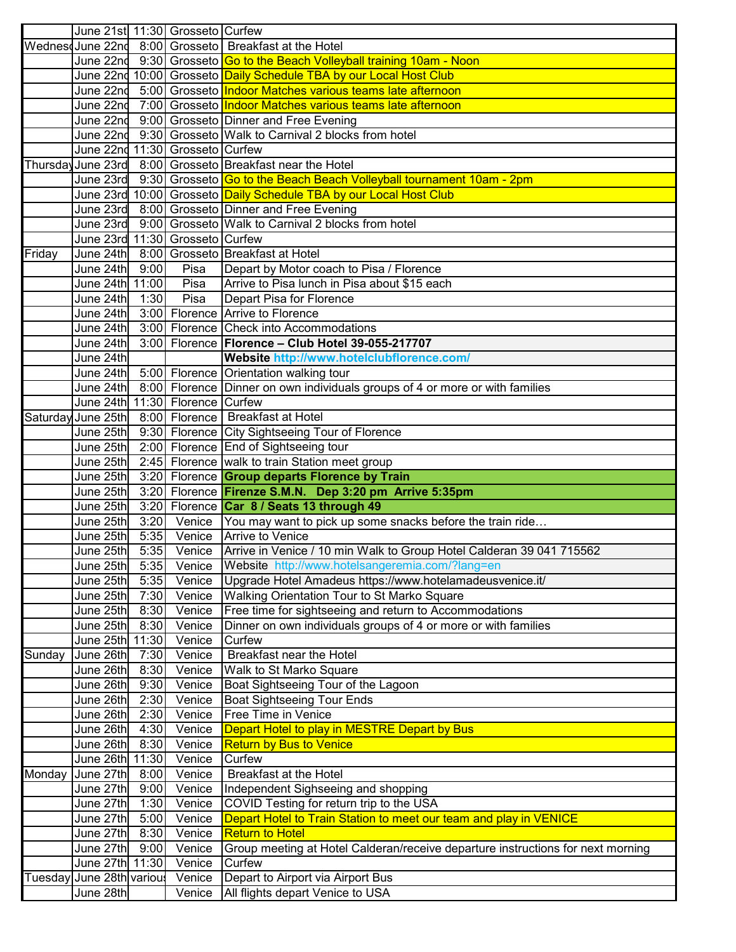|         |                                |      | June 21st 11:30 Grosseto Curfew |                                                                                         |
|---------|--------------------------------|------|---------------------------------|-----------------------------------------------------------------------------------------|
|         |                                |      |                                 | Wednesd June 22nd 8:00 Grosseto Breakfast at the Hotel                                  |
|         |                                |      |                                 | June 22nd _9:30  Grosseto <mark>IGo to the Beach Volleyball training 10am - Noon</mark> |
|         |                                |      |                                 | June 22nd 10:00  Grosseto <mark> Daily Schedule TBA by our Local Host Club</mark>       |
|         |                                |      |                                 | June 22nd _5:00  Grosseto <mark>Indoor Matches various teams late afternoon</mark>      |
|         |                                |      |                                 | June 22nd _7:00  Grosseto <mark>Indoor Matches various teams late afternoon</mark>      |
|         |                                |      |                                 | June 22nd 9:00 Grosseto Dinner and Free Evening                                         |
|         |                                |      |                                 | June 22nd 9:30 Grosseto Walk to Carnival 2 blocks from hotel                            |
|         |                                |      | June 22nd 11:30 Grosseto Curfew |                                                                                         |
|         |                                |      |                                 | Thursday June 23rd 8:00 Grosseto Breakfast near the Hotel                               |
|         |                                |      |                                 | June 23rd 9:30 Grosseto Go to the Beach Beach Volleyball tournament 10am - 2pm          |
|         |                                |      |                                 | June 23rd 10:00 Grosseto Daily Schedule TBA by our Local Host Club                      |
|         |                                |      |                                 | June 23rd 8:00 Grosseto Dinner and Free Evening                                         |
|         |                                |      |                                 | June 23rd 9:00 Grosseto Walk to Carnival 2 blocks from hotel                            |
|         |                                |      | June 23rd 11:30 Grosseto Curfew |                                                                                         |
| Friday  |                                |      |                                 | June 24th 8:00 Grosseto Breakfast at Hotel                                              |
|         | June 24th 9:00                 |      | Pisa                            | Depart by Motor coach to Pisa / Florence                                                |
|         | June 24th 11:00                |      | Pisa                            | Arrive to Pisa lunch in Pisa about \$15 each                                            |
|         | June 24th                      | 1:30 | Pisa                            | Depart Pisa for Florence                                                                |
|         |                                |      |                                 | June 24th 3:00 Florence Arrive to Florence                                              |
|         |                                |      |                                 | June 24th 3:00 Florence Check into Accommodations                                       |
|         |                                |      |                                 | June 24th 3:00 Florence Florence - Club Hotel 39-055-217707                             |
|         | June 24th                      |      |                                 | Website http://www.hotelclubflorence.com/                                               |
|         |                                |      |                                 | June 24th 5:00 Florence Orientation walking tour                                        |
|         |                                |      |                                 | June 24th 8:00 Florence Dinner on own individuals groups of 4 or more or with families  |
|         |                                |      | June 24th 11:30 Florence Curfew |                                                                                         |
|         |                                |      |                                 | Saturday June 25th 8:00 Florence Breakfast at Hotel                                     |
|         |                                |      |                                 | June 25th 9:30 Florence City Sightseeing Tour of Florence                               |
|         |                                |      |                                 | June 25th 2:00 Florence End of Sightseeing tour                                         |
|         |                                |      |                                 | June 25th 2:45 Florence walk to train Station meet group                                |
|         |                                |      |                                 |                                                                                         |
|         |                                |      |                                 |                                                                                         |
|         |                                |      |                                 | June 25th 3:20 Florence <b>Group departs Florence by Train</b>                          |
|         |                                |      |                                 | June 25th 3:20 Florence Firenze S.M.N. Dep 3:20 pm Arrive 5:35pm                        |
|         | June 25th                      |      |                                 | 3:20 Florence Car 8 / Seats 13 through 49                                               |
|         |                                |      |                                 | June 25th 3:20 Venice You may want to pick up some snacks before the train ride         |
|         | June 25th                      |      | 5:35 Venice                     | Arrive to Venice                                                                        |
|         | June 25th                      |      | 5:35 Venice                     | Arrive in Venice / 10 min Walk to Group Hotel Calderan 39 041 715562                    |
|         | June 25th 5:35 Venice          |      |                                 | Website http://www.hotelsangeremia.com/?lang=en                                         |
|         | June 25th                      | 5:35 | Venice                          | Upgrade Hotel Amadeus https://www.hotelamadeusvenice.it/                                |
|         | June 25th                      | 7:30 | Venice                          | Walking Orientation Tour to St Marko Square                                             |
|         | June 25th                      | 8:30 | Venice                          | Free time for sightseeing and return to Accommodations                                  |
|         | June 25th                      | 8:30 | Venice                          | Dinner on own individuals groups of 4 or more or with families                          |
|         | June 25th 11:30                |      | Venice                          | Curfew                                                                                  |
| Sunday  | June 26th                      | 7:30 | Venice                          | <b>Breakfast near the Hotel</b>                                                         |
|         | June 26th                      | 8:30 | Venice                          | <b>Walk to St Marko Square</b>                                                          |
|         | June 26th                      | 9:30 | Venice                          | Boat Sightseeing Tour of the Lagoon                                                     |
|         | June 26th                      | 2:30 | Venice                          | <b>Boat Sightseeing Tour Ends</b>                                                       |
|         | June 26th                      | 2:30 | Venice                          | Free Time in Venice                                                                     |
|         | June 26th                      | 4:30 | Venice                          | Depart Hotel to play in MESTRE Depart by Bus                                            |
|         | June 26th                      | 8:30 | Venice                          | <b>Return by Bus to Venice</b>                                                          |
|         | June 26th 11:30                |      | Venice                          | Curfew                                                                                  |
| Monday  | June 27th                      | 8:00 | Venice                          | <b>Breakfast at the Hotel</b>                                                           |
|         | June 27th                      | 9:00 | Venice                          | Independent Sighseeing and shopping                                                     |
|         | June 27th                      | 1:30 | Venice                          | COVID Testing for return trip to the USA                                                |
|         | June 27th                      | 5:00 | Venice                          | Depart Hotel to Train Station to meet our team and play in VENICE                       |
|         | June 27th                      | 8:30 | Venice                          | <b>Return to Hotel</b>                                                                  |
|         | June $27th$ 9:00               |      | Venice                          | Group meeting at Hotel Calderan/receive departure instructions for next morning         |
|         | June 27th 11:30                |      | Venice                          | Curfew                                                                                  |
| Tuesday | June 28th various<br>June 28th |      | Venice<br>Venice                | Depart to Airport via Airport Bus<br>All flights depart Venice to USA                   |